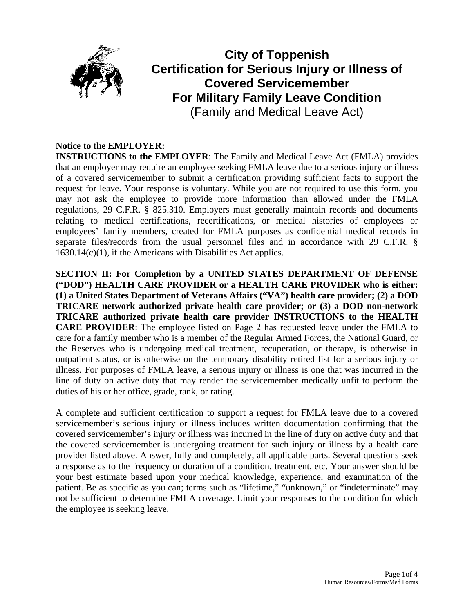

# **City of Toppenish Certification for Serious Injury or Illness of Covered Servicemember For Military Family Leave Condition**  (Family and Medical Leave Act)

# **Notice to the EMPLOYER:**

**INSTRUCTIONS to the EMPLOYER**: The Family and Medical Leave Act (FMLA) provides that an employer may require an employee seeking FMLA leave due to a serious injury or illness of a covered servicemember to submit a certification providing sufficient facts to support the request for leave. Your response is voluntary. While you are not required to use this form, you may not ask the employee to provide more information than allowed under the FMLA regulations, 29 C.F.R. § 825.310. Employers must generally maintain records and documents relating to medical certifications, recertifications, or medical histories of employees or employees' family members, created for FMLA purposes as confidential medical records in separate files/records from the usual personnel files and in accordance with 29 C.F.R. § 1630.14(c)(1), if the Americans with Disabilities Act applies.

**SECTION II: For Completion by a UNITED STATES DEPARTMENT OF DEFENSE ("DOD") HEALTH CARE PROVIDER or a HEALTH CARE PROVIDER who is either: (1) a United States Department of Veterans Affairs ("VA") health care provider; (2) a DOD TRICARE network authorized private health care provider; or (3) a DOD non-network TRICARE authorized private health care provider INSTRUCTIONS to the HEALTH CARE PROVIDER**: The employee listed on Page 2 has requested leave under the FMLA to care for a family member who is a member of the Regular Armed Forces, the National Guard, or the Reserves who is undergoing medical treatment, recuperation, or therapy, is otherwise in outpatient status, or is otherwise on the temporary disability retired list for a serious injury or illness. For purposes of FMLA leave, a serious injury or illness is one that was incurred in the line of duty on active duty that may render the servicemember medically unfit to perform the duties of his or her office, grade, rank, or rating.

A complete and sufficient certification to support a request for FMLA leave due to a covered servicemember's serious injury or illness includes written documentation confirming that the covered servicemember's injury or illness was incurred in the line of duty on active duty and that the covered servicemember is undergoing treatment for such injury or illness by a health care provider listed above. Answer, fully and completely, all applicable parts. Several questions seek a response as to the frequency or duration of a condition, treatment, etc. Your answer should be your best estimate based upon your medical knowledge, experience, and examination of the patient. Be as specific as you can; terms such as "lifetime," "unknown," or "indeterminate" may not be sufficient to determine FMLA coverage. Limit your responses to the condition for which the employee is seeking leave.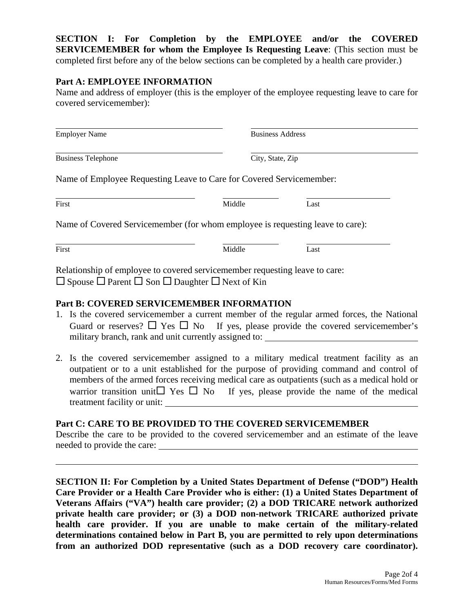**SECTION I: For Completion by the EMPLOYEE and/or the COVERED SERVICEMEMBER for whom the Employee Is Requesting Leave**: (This section must be completed first before any of the below sections can be completed by a health care provider.)

#### **Part A: EMPLOYEE INFORMATION**

Name and address of employer (this is the employer of the employee requesting leave to care for covered servicemember):

| <b>Employer Name</b>                                                                                                                                     | <b>Business Address</b> |                  |  |
|----------------------------------------------------------------------------------------------------------------------------------------------------------|-------------------------|------------------|--|
| <b>Business Telephone</b>                                                                                                                                |                         | City, State, Zip |  |
| Name of Employee Requesting Leave to Care for Covered Servicemember:                                                                                     |                         |                  |  |
| First                                                                                                                                                    | Middle                  | Last             |  |
| Name of Covered Servicemember (for whom employee is requesting leave to care):                                                                           |                         |                  |  |
| First                                                                                                                                                    | Middle                  | Last             |  |
| Relationship of employee to covered servicemember requesting leave to care:<br>$\Box$ Spouse $\Box$ Parent $\Box$ Son $\Box$ Daughter $\Box$ Next of Kin |                         |                  |  |

#### **Part B: COVERED SERVICEMEMBER INFORMATION**

 $\overline{a}$ 

- 1. Is the covered servicemember a current member of the regular armed forces, the National Guard or reserves?  $\Box$  Yes  $\Box$  No If yes, please provide the covered servicemember's military branch, rank and unit currently assigned to:
- 2. Is the covered servicemember assigned to a military medical treatment facility as an outpatient or to a unit established for the purpose of providing command and control of members of the armed forces receiving medical care as outpatients (such as a medical hold or warrior transition unit  $\Box$  Yes  $\Box$  No If yes, please provide the name of the medical treatment facility or unit:

#### **Part C: CARE TO BE PROVIDED TO THE COVERED SERVICEMEMBER**

Describe the care to be provided to the covered servicemember and an estimate of the leave needed to provide the care:

**SECTION II: For Completion by a United States Department of Defense ("DOD") Health Care Provider or a Health Care Provider who is either: (1) a United States Department of Veterans Affairs ("VA") health care provider; (2) a DOD TRICARE network authorized private health care provider; or (3) a DOD non-network TRICARE authorized private health care provider. If you are unable to make certain of the military-related determinations contained below in Part B, you are permitted to rely upon determinations from an authorized DOD representative (such as a DOD recovery care coordinator).**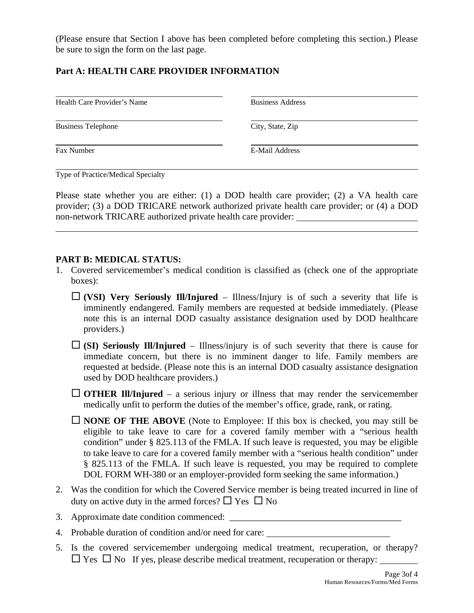(Please ensure that Section I above has been completed before completing this section.) Please be sure to sign the form on the last page.

# **Part A: HEALTH CARE PROVIDER INFORMATION**

Health Care Provider's Name Business Address

Business Telephone City, State, Zip

Fax Number **E-Mail Address** 

 $\overline{a}$ 

 $\overline{a}$ Type of Practice/Medical Specialty

Please state whether you are either: (1) a DOD health care provider; (2) a VA health care provider; (3) a DOD TRICARE network authorized private health care provider; or (4) a DOD non-network TRICARE authorized private health care provider:

### **PART B: MEDICAL STATUS:**

- 1. Covered servicemember's medical condition is classified as (check one of the appropriate boxes):
	- $\Box$  (VSI) Very Seriously Ill/Injured Illness/Injury is of such a severity that life is imminently endangered. Family members are requested at bedside immediately. (Please note this is an internal DOD casualty assistance designation used by DOD healthcare providers.)
	- $\Box$  (SI) Seriously Ill/Injured Illness/injury is of such severity that there is cause for immediate concern, but there is no imminent danger to life. Family members are requested at bedside. (Please note this is an internal DOD casualty assistance designation used by DOD healthcare providers.)
	- $\Box$  **OTHER III/Injured** a serious injury or illness that may render the servicemember medically unfit to perform the duties of the member's office, grade, rank, or rating.
	- **NONE OF THE ABOVE** (Note to Employee: If this box is checked, you may still be eligible to take leave to care for a covered family member with a "serious health condition" under § 825.113 of the FMLA. If such leave is requested, you may be eligible to take leave to care for a covered family member with a "serious health condition" under § 825.113 of the FMLA. If such leave is requested, you may be required to complete DOL FORM WH-380 or an employer-provided form seeking the same information.)
- 2. Was the condition for which the Covered Service member is being treated incurred in line of duty on active duty in the armed forces?  $\Box$  Yes  $\Box$  No
- 3. Approximate date condition commenced:
- 4. Probable duration of condition and/or need for care:
- 5. Is the covered servicemember undergoing medical treatment, recuperation, or therapy?  $\Box$  Yes  $\Box$  No If yes, please describe medical treatment, recuperation or therapy: